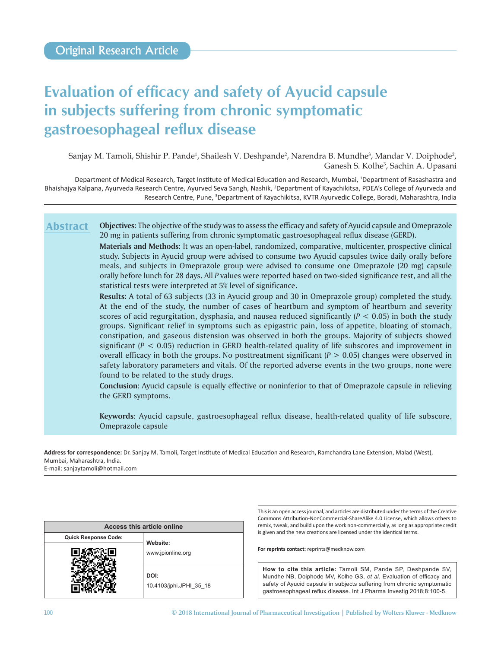# **Evaluation of efficacy and safety of Ayucid capsule in subjects suffering from chronic symptomatic gastroesophageal reflux disease**

Sanjay M. Tamoli, Shishir P. Pande<sup>1</sup>, Shailesh V. Deshpande<sup>2</sup>, Narendra B. Mundhe<sup>3</sup>, Mandar V. Doiphode<sup>2</sup>, Ganesh S. Kolhe3 , Sachin A. Upasani

Department of Medical Research, Target Institute of Medical Education and Research, Mumbai, <sup>1</sup>Department of Rasashastra and Bhaishajya Kalpana, Ayurveda Research Centre, Ayurved Seva Sangh, Nashik, <sup>2</sup>Department of Kayachikitsa, PDEA's College of Ayurveda and Research Centre, Pune, <sup>3</sup>Department of Kayachikitsa, KVTR Ayurvedic College, Boradi, Maharashtra, India

**Objectives:** The objective of the study was to assess the efficacy and safety of Ayucid capsule and Omeprazole 20 mg in patients suffering from chronic symptomatic gastroesophageal reflux disease (GERD). **Abstract**

> **Materials and Methods:** It was an open-label, randomized, comparative, multicenter, prospective clinical study. Subjects in Ayucid group were advised to consume two Ayucid capsules twice daily orally before meals, and subjects in Omeprazole group were advised to consume one Omeprazole (20 mg) capsule orally before lunch for 28 days. All *P* values were reported based on two-sided significance test, and all the statistical tests were interpreted at 5% level of significance.

> **Results:** A total of 63 subjects (33 in Ayucid group and 30 in Omeprazole group) completed the study. At the end of the study, the number of cases of heartburn and symptom of heartburn and severity scores of acid regurgitation, dysphasia, and nausea reduced significantly  $(P < 0.05)$  in both the study groups. Significant relief in symptoms such as epigastric pain, loss of appetite, bloating of stomach, constipation, and gaseous distension was observed in both the groups. Majority of subjects showed significant  $(P < 0.05)$  reduction in GERD health-related quality of life subscores and improvement in overall efficacy in both the groups. No posttreatment significant  $(P > 0.05)$  changes were observed in safety laboratory parameters and vitals. Of the reported adverse events in the two groups, none were found to be related to the study drugs.

> **Conclusion:** Ayucid capsule is equally effective or noninferior to that of Omeprazole capsule in relieving the GERD symptoms.

> **Keywords:** Ayucid capsule, gastroesophageal reflux disease, health-related quality of life subscore, Omeprazole capsule

**Address for correspondence:** Dr. Sanjay M. Tamoli, Target Institute of Medical Education and Research, Ramchandra Lane Extension, Malad (West), Mumbai, Maharashtra, India.

E-mail: sanjaytamoli@hotmail.com

| Access this article online  |                                 |  |  |
|-----------------------------|---------------------------------|--|--|
| <b>Quick Response Code:</b> | Website:                        |  |  |
|                             | www.jpionline.org               |  |  |
|                             | DOI:<br>10.4103/jphi.JPHI 35 18 |  |  |

This is an open access journal, and articles are distributed under the terms of the Creative Commons Attribution‑NonCommercial‑ShareAlike 4.0 License, which allows others to remix, tweak, and build upon the work non‑commercially, as long as appropriate credit is given and the new creations are licensed under the identical terms.

**For reprints contact:** reprints@medknow.com

**How to cite this article:** Tamoli SM, Pande SP, Deshpande SV, Mundhe NB, Doiphode MV, Kolhe GS, *et al*. Evaluation of efficacy and safety of Ayucid capsule in subjects suffering from chronic symptomatic gastroesophageal reflux disease. Int J Pharma Investig 2018;8:100-5.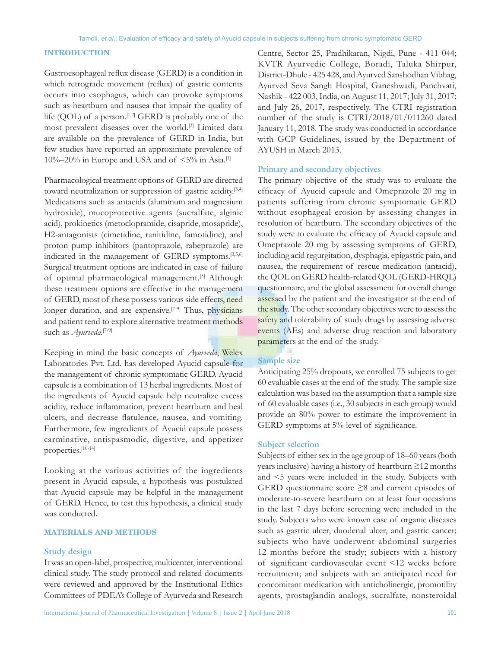# **INTRODUCTION**

Gastroesophageal reflux disease (GERD) is a condition in which retrograde movement (reflux) of gastric contents occurs into esophagus, which can provoke symptoms such as heartburn and nausea that impair the quality of life (QOL) of a person.<sup>[1,2]</sup> GERD is probably one of the most prevalent diseases over the world.[3] Limited data are available on the prevalence of GERD in India, but few studies have reported an approximate prevalence of 10%–20% in Europe and USA and of  $\leq 5\%$  in Asia.<sup>[1]</sup>

Pharmacological treatment options of GERD are directed toward neutralization or suppression of gastric acidity.<sup>[3,4]</sup> Medications such as antacids (aluminum and magnesium hydroxide), mucoprotective agents (sucralfate, alginic acid), prokinetics (metoclopramide, cisapride, mosapride), H2-antagonists (cimetidine, ranitidine, famotidine), and proton pump inhibitors (pantoprazole, rabeprazole) are indicated in the management of GERD symptoms.<sup>[3,5,6]</sup> Surgical treatment options are indicated in case of failure of optimal pharmacological management.<sup>[5]</sup> Although these treatment options are effective in the management of GERD, most of these possess various side effects, need longer duration, and are expensive.<sup>[7-9]</sup> Thus, physicians and patient tend to explore alternative treatment methods such as *Ayurveda*. [7-9]

Keeping in mind the basic concepts of *Ayurveda*, Welex Laboratories Pvt. Ltd. has developed Ayucid capsule for the management of chronic symptomatic GERD. Ayucid capsule is a combination of 13 herbal ingredients. Most of the ingredients of Ayucid capsule help neutralize excess acidity, reduce inflammation, prevent heartburn and heal ulcers, and decrease flatulence, nausea, and vomiting. Furthermore, few ingredients of Ayucid capsule possess carminative, antispasmodic, digestive, and appetizer properties.[10-14]

Looking at the various activities of the ingredients present in Ayucid capsule, a hypothesis was postulated that Ayucid capsule may be helpful in the management of GERD. Hence, to test this hypothesis, a clinical study was conducted.

# **MATERIALS AND METHODS**

## **Study design**

It was an open-label, prospective, multicenter, interventional clinical study. The study protocol and related documents were reviewed and approved by the Institutional Ethics Committees of PDEA's College of Ayurveda and Research Centre, Sector 25, Pradhikaran, Nigdi, Pune - 411 044; KVTR Ayurvedic College, Boradi, Taluka Shirpur, District-Dhule - 425 428, and Ayurved Sanshodhan Vibhag, Ayurved Seva Sangh Hospital, Ganeshwadi, Panchvati, Nashik - 422 003, India, on August 11, 2017; July 31, 2017; and July 26, 2017, respectively. The CTRI registration number of the study is CTRI/2018/01/011260 dated January 11, 2018. The study was conducted in accordance with GCP Guidelines, issued by the Department of AYUSH in March 2013.

## **Primary and secondary objectives**

The primary objective of the study was to evaluate the efficacy of Ayucid capsule and Omeprazole 20 mg in patients suffering from chronic symptomatic GERD without esophageal erosion by assessing changes in resolution of heartburn. The secondary objectives of the study were to evaluate the efficacy of Ayucid capsule and Omeprazole 20 mg by assessing symptoms of GERD, including acid regurgitation, dysphagia, epigastric pain, and nausea, the requirement of rescue medication (antacid), the QOL on GERD health-related QOL (GERD-HRQL) questionnaire, and the global assessment for overall change assessed by the patient and the investigator at the end of the study. The other secondary objectives were to assess the safety and tolerability of study drugs by assessing adverse events (AEs) and adverse drug reaction and laboratory parameters at the end of the study.

## **Sample size**

Anticipating 25% dropouts, we enrolled 75 subjects to get 60 evaluable cases at the end of the study. The sample size calculation was based on the assumption that a sample size of 60 evaluable cases(i.e., 30 subjects in each group) would provide an 80% power to estimate the improvement in GERD symptoms at 5% level of significance.

## **Subject selection**

Subjects of either sex in the age group of 18-60 years (both years inclusive) having a history of heartburn ≥12 months and <5 years were included in the study. Subjects with GERD questionnaire score ≥8 and current episodes of moderate-to-severe heartburn on at least four occasions in the last 7 days before screening were included in the study. Subjects who were known case of organic diseases such as gastric ulcer, duodenal ulcer, and gastric cancer; subjects who have underwent abdominal surgeries 12 months before the study; subjects with a history of significant cardiovascular event <12 weeks before recruitment; and subjects with an anticipated need for concomitant medication with anticholinergic, promotility agents, prostaglandin analogs, sucralfate, nonsteroidal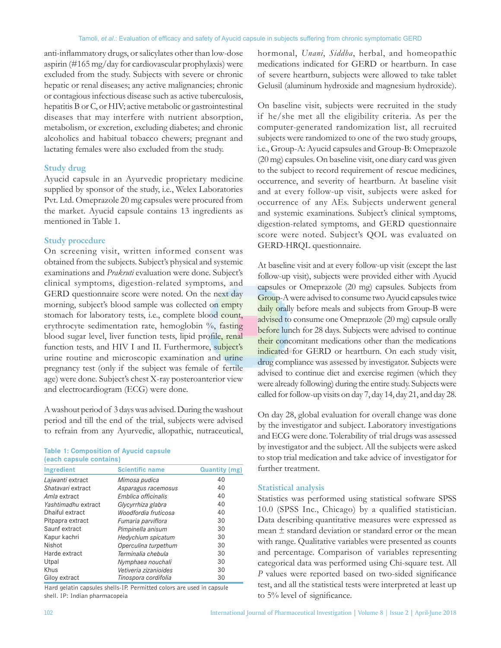anti‑inflammatory drugs, or salicylates other than low‑dose aspirin (#165 mg/day for cardiovascular prophylaxis) were excluded from the study. Subjects with severe or chronic hepatic or renal diseases; any active malignancies; chronic or contagious infectious disease such as active tuberculosis, hepatitis B or C, or HIV; active metabolic or gastrointestinal diseases that may interfere with nutrient absorption, metabolism, or excretion, excluding diabetes; and chronic alcoholics and habitual tobacco chewers; pregnant and lactating females were also excluded from the study.

## **Study drug**

Ayucid capsule in an Ayurvedic proprietary medicine supplied by sponsor of the study, i.e., Welex Laboratories Pvt. Ltd. Omeprazole 20 mg capsules were procured from the market. Ayucid capsule contains 13 ingredients as mentioned in Table 1.

# **Study procedure**

On screening visit, written informed consent was obtained from the subjects. Subject's physical and systemic examinations and *Prakruti* evaluation were done. Subject's clinical symptoms, digestion-related symptoms, and GERD questionnaire score were noted. On the next day morning, subject's blood sample was collected on empty stomach for laboratory tests, i.e., complete blood count, erythrocyte sedimentation rate, hemoglobin %, fasting blood sugar level, liver function tests, lipid profile, renal function tests, and HIV I and II. Furthermore, subject's urine routine and microscopic examination and urine pregnancy test (only if the subject was female of fertile age) were done. Subject's chest X-ray posteroanterior view and electrocardiogram (ECG) were done.

A washout period of 3 days was advised. During the washout period and till the end of the trial, subjects were advised to refrain from any Ayurvedic, allopathic, nutraceutical,

| <b>Table 1: Composition of Ayucid capsule</b> |  |
|-----------------------------------------------|--|
| (each capsule contains)                       |  |

| Ingredient          | <b>Scientific name</b> | <b>Quantity (mg)</b> |
|---------------------|------------------------|----------------------|
| Lajwanti extract    | Mimosa pudica          | 40                   |
| Shatavari extract   | Asparagus racemosus    | 40                   |
| Amla extract        | Emblica officinalis    | 40                   |
| Yashtimadhu extract | Glycyrrhiza glabra     | 40                   |
| Dhaiful extract     | Woodfordia fruticosa   | 40                   |
| Pitpapra extract    | Fumaria parviflora     | 30                   |
| Saunf extract       | Pimpinella anisum      | 30                   |
| Kapur kachri        | Hedychium spicatum     | 30                   |
| Nishot              | Operculina turpethum   | 30                   |
| Harde extract       | Terminalia chebula     | 30                   |
| Utpal               | Nymphaea nouchali      | 30                   |
| Khus                | Vetiveria zizanioides  | 30                   |
| Giloy extract       | Tinospora cordifolia   | 30                   |

Hard gelatin capsules shells‑IP. Permitted colors are used in capsule shell. IP: Indian pharmacopeia

hormonal, *Unani*, *Siddha*, herbal, and homeopathic medications indicated for GERD or heartburn. In case of severe heartburn, subjects were allowed to take tablet Gelusil (aluminum hydroxide and magnesium hydroxide).

On baseline visit, subjects were recruited in the study if he/she met all the eligibility criteria. As per the computer-generated randomization list, all recruited subjects were randomized to one of the two study groups, i.e., Group-A: Ayucid capsules and Group-B: Omeprazole (20 mg) capsules. On baseline visit, one diary card was given to the subject to record requirement of rescue medicines, occurrence, and severity of heartburn. At baseline visit and at every follow-up visit, subjects were asked for occurrence of any AEs. Subjects underwent general and systemic examinations. Subject's clinical symptoms, digestion‑related symptoms, and GERD questionnaire score were noted. Subject's QOL was evaluated on GERD-HRQL questionnaire.

At baseline visit and at every follow-up visit (except the last follow-up visit), subjects were provided either with Ayucid capsules or Omeprazole (20 mg) capsules. Subjects from Group-A were advised to consume two Ayucid capsules twice daily orally before meals and subjects from Group-B were advised to consume one Omeprazole (20 mg) capsule orally before lunch for 28 days. Subjects were advised to continue their concomitant medications other than the medications indicated for GERD or heartburn. On each study visit, drug compliance was assessed by investigator. Subjects were advised to continue diet and exercise regimen (which they were already following) during the entire study. Subjects were called for follow-up visits on day 7, day 14, day 21, and day 28.

On day 28, global evaluation for overall change was done by the investigator and subject. Laboratory investigations and ECG were done. Tolerability of trial drugs was assessed by investigator and the subject. All the subjects were asked to stop trial medication and take advice of investigator for further treatment.

#### **Statistical analysis**

Statistics was performed using statistical software SPSS 10.0 (SPSS Inc., Chicago) by a qualified statistician. Data describing quantitative measures were expressed as mean ± standard deviation or standard error or the mean with range. Qualitative variables were presented as counts and percentage. Comparison of variables representing categorical data was performed using Chi‑square test. All *P* values were reported based on two-sided significance test, and all the statistical tests were interpreted at least up to 5% level of significance.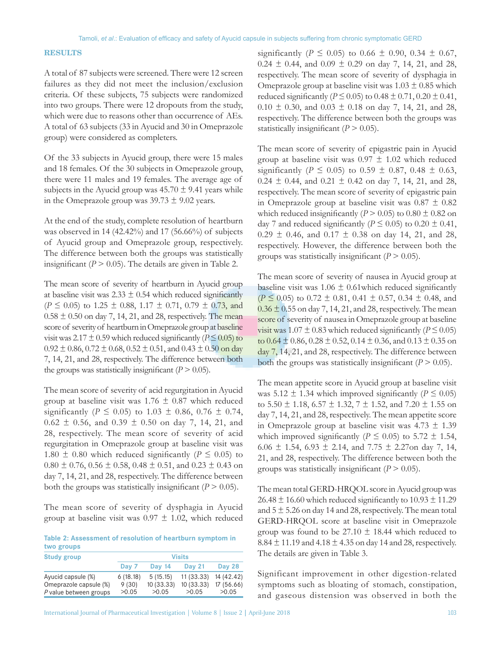# **RESULTS**

A total of 87 subjects were screened. There were 12 screen failures as they did not meet the inclusion/exclusion criteria. Of these subjects, 75 subjects were randomized into two groups. There were 12 dropouts from the study, which were due to reasons other than occurrence of AEs. A total of 63 subjects (33 in Ayucid and 30 in Omeprazole group) were considered as completers.

Of the 33 subjects in Ayucid group, there were 15 males and 18 females. Of the 30 subjects in Omeprazole group, there were 11 males and 19 females. The average age of subjects in the Ayucid group was  $45.70 \pm 9.41$  years while in the Omeprazole group was  $39.73 \pm 9.02$  years.

At the end of the study, complete resolution of heartburn was observed in 14 (42.42%) and 17 (56.66%) of subjects of Ayucid group and Omeprazole group, respectively. The difference between both the groups was statistically insignificant ( $P > 0.05$ ). The details are given in Table 2.

The mean score of severity of heartburn in Ayucid group at baseline visit was  $2.33 \pm 0.54$  which reduced significantly ( $P \le 0.05$ ) to 1.25  $\pm$  0.88, 1.17  $\pm$  0.71, 0.79  $\pm$  0.73, and  $0.58 \pm 0.50$  on day 7, 14, 21, and 28, respectively. The mean score of severity of heartburn in Omeprazole group at baseline visit was  $2.17 \pm 0.59$  which reduced significantly ( $P \le 0.05$ ) to  $0.92 \pm 0.86$ ,  $0.72 \pm 0.68$ ,  $0.52 \pm 0.51$ , and  $0.43 \pm 0.50$  on day 7, 14, 21, and 28, respectively. The difference between both the groups was statistically insignificant  $(P > 0.05)$ .

The mean score of severity of acid regurgitation in Ayucid group at baseline visit was  $1.76 \pm 0.87$  which reduced significantly ( $P \le 0.05$ ) to 1.03  $\pm$  0.86, 0.76  $\pm$  0.74,  $0.62 \pm 0.56$ , and  $0.39 \pm 0.50$  on day 7, 14, 21, and 28, respectively. The mean score of severity of acid regurgitation in Omeprazole group at baseline visit was 1.80  $\pm$  0.80 which reduced significantly ( $P \le 0.05$ ) to  $0.80 \pm 0.76$ ,  $0.56 \pm 0.58$ ,  $0.48 \pm 0.51$ , and  $0.23 \pm 0.43$  on day 7, 14, 21, and 28, respectively. The difference between both the groups was statistically insignificant  $(P > 0.05)$ .

The mean score of severity of dysphagia in Ayucid group at baseline visit was  $0.97 \pm 1.02$ , which reduced

**Table 2: Assessment of resolution of heartburn symptom in two groups**

| <b>Study group</b>     | <b>Visits</b> |               |               |               |
|------------------------|---------------|---------------|---------------|---------------|
|                        | Day 7         | <b>Day 14</b> | <b>Day 21</b> | <b>Day 28</b> |
| Ayucid capsule (%)     | 6(18.18)      | 5(15.15)      | 11(33.33)     | 14 (42.42)    |
| Omeprazole capsule (%) | 9(30)         | 10 (33.33)    | 10(33.33)     | 17(56.66)     |
| P value between groups | >0.05         | >0.05         | >0.05         | >0.05         |
|                        |               |               |               |               |

significantly ( $P \le 0.05$ ) to 0.66  $\pm$  0.90, 0.34  $\pm$  0.67,  $0.24 \pm 0.44$ , and  $0.09 \pm 0.29$  on day 7, 14, 21, and 28, respectively. The mean score of severity of dysphagia in Omeprazole group at baseline visit was  $1.03 \pm 0.85$  which reduced significantly ( $P \le 0.05$ ) to  $0.48 \pm 0.71$ ,  $0.20 \pm 0.41$ ,  $0.10 \pm 0.30$ , and  $0.03 \pm 0.18$  on day 7, 14, 21, and 28, respectively. The difference between both the groups was statistically insignificant  $(P > 0.05)$ .

The mean score of severity of epigastric pain in Ayucid group at baseline visit was  $0.97 \pm 1.02$  which reduced significantly ( $P \le 0.05$ ) to 0.59  $\pm$  0.87, 0.48  $\pm$  0.63,  $0.24 \pm 0.44$ , and  $0.21 \pm 0.42$  on day 7, 14, 21, and 28, respectively. The mean score of severity of epigastric pain in Omeprazole group at baseline visit was  $0.87 \pm 0.82$ which reduced insignificantly ( $P > 0.05$ ) to  $0.80 \pm 0.82$  on day 7 and reduced significantly ( $P \le 0.05$ ) to  $0.20 \pm 0.41$ ,  $0.29 \pm 0.46$ , and  $0.17 \pm 0.38$  on day 14, 21, and 28, respectively. However, the difference between both the groups was statistically insignificant  $(P > 0.05)$ .

The mean score of severity of nausea in Ayucid group at baseline visit was  $1.06 \pm 0.61$  which reduced significantly  $(P \le 0.05)$  to 0.72  $\pm$  0.81, 0.41  $\pm$  0.57, 0.34  $\pm$  0.48, and  $0.36 \pm 0.55$  on day 7, 14, 21, and 28, respectively. The mean score of severity of nausea in Omeprazole group at baseline visit was  $1.07 \pm 0.83$  which reduced significantly ( $P \le 0.05$ ) to  $0.64 \pm 0.86$ ,  $0.28 \pm 0.52$ ,  $0.14 \pm 0.36$ , and  $0.13 \pm 0.35$  on day 7, 14, 21, and 28, respectively. The difference between both the groups was statistically insignificant  $(P > 0.05)$ .

The mean appetite score in Ayucid group at baseline visit was 5.12  $\pm$  1.34 which improved significantly ( $P \le 0.05$ ) to  $5.50 \pm 1.18$ ,  $6.57 \pm 1.32$ ,  $7 \pm 1.52$ , and  $7.20 \pm 1.55$  on day 7, 14, 21, and 28, respectively. The mean appetite score in Omeprazole group at baseline visit was  $4.73 \pm 1.39$ which improved significantly ( $P \le 0.05$ ) to 5.72  $\pm$  1.54, 6.06  $\pm$  1.54, 6.93  $\pm$  2.14, and 7.75  $\pm$  2.27on day 7, 14, 21, and 28, respectively. The difference between both the groups was statistically insignificant  $(P > 0.05)$ .

The mean total GERD-HRQOL score in Ayucid group was  $26.48 \pm 16.60$  which reduced significantly to  $10.93 \pm 11.29$ and  $5 \pm 5.26$  on day 14 and 28, respectively. The mean total GERD-HRQOL score at baseline visit in Omeprazole group was found to be  $27.10 \pm 18.44$  which reduced to  $8.84 \pm 11.19$  and  $4.18 \pm 4.35$  on day 14 and 28, respectively. The details are given in Table 3.

Significant improvement in other digestion-related symptoms such as bloating of stomach, constipation, and gaseous distension was observed in both the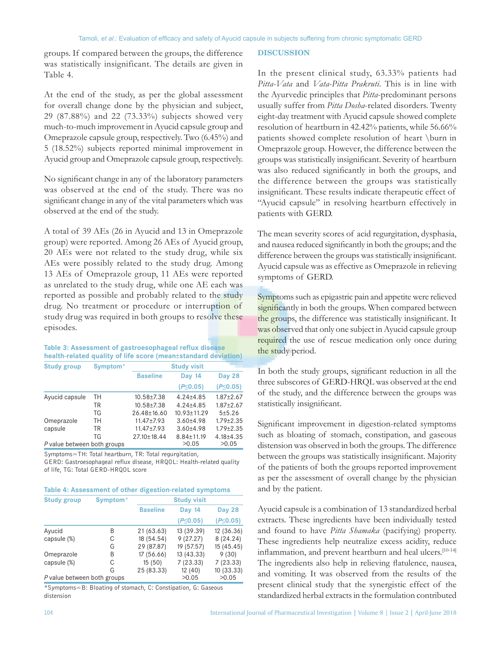groups. If compared between the groups, the difference was statistically insignificant. The details are given in Table 4.

At the end of the study, as per the global assessment for overall change done by the physician and subject, 29 (87.88%) and 22 (73.33%) subjects showed very much-to-much improvement in Ayucid capsule group and Omeprazole capsule group, respectively. Two (6.45%) and 5 (18.52%) subjects reported minimal improvement in Ayucid group and Omeprazole capsule group, respectively.

No significant change in any of the laboratory parameters was observed at the end of the study. There was no significant change in any of the vital parameters which was observed at the end of the study.

A total of 39 AEs (26 in Ayucid and 13 in Omeprazole group) were reported. Among 26 AEs of Ayucid group, 20 AEs were not related to the study drug, while six AEs were possibly related to the study drug. Among 13 AEs of Omeprazole group, 11 AEs were reported as unrelated to the study drug, while one AE each was reported as possible and probably related to the study drug. No treatment or procedure or interruption of study drug was required in both groups to resolve these episodes.

## **Table 3: Assessment of gastroesophageal reflux disease health‑related quality of life score (mean±standard deviation)**

| <b>Study group</b>          | Symptom* | <b>Study visit</b> |                   |                 |  |
|-----------------------------|----------|--------------------|-------------------|-----------------|--|
|                             |          | <b>Baseline</b>    | <b>Day 14</b>     | Day 28          |  |
|                             |          |                    | $(P \le 0.05)$    | $(P \le 0.05)$  |  |
| Ayucid capsule              | TН       | 10.58±7.38         | $4.24 + 4.85$     | $1.87 \pm 2.67$ |  |
|                             | TR       | $10.58 + 7.38$     | $4.24 + 4.85$     | $1.87 \pm 2.67$ |  |
|                             | TG       | $26.48 \pm 16.60$  | $10.93 \pm 11.29$ | $5 + 5.26$      |  |
| Omeprazole                  | TН       | 11.47±7.93         | $3.60{\pm}4.98$   | $1.79 + 2.35$   |  |
| capsule                     | TR       | 11.47±7.93         | $3.60{\pm}4.98$   | $1.79 \pm 2.35$ |  |
|                             | TG       | $27.10 \pm 18.44$  | $8.84 \pm 11.19$  | $4.18 + 4.35$   |  |
| P value between both groups |          |                    | >0.05             | >0.05           |  |

Symptoms=TH: Total heartburn, TR: Total regurgitation,

GERD: Gastroesophageal reflux disease, HRQOL: Health-related quality of life, TG: Total GERD‑HRQOL score

|  | Table 4: Assessment of other digestion-related symptoms |  |
|--|---------------------------------------------------------|--|
|--|---------------------------------------------------------|--|

| <b>Study group</b>          | Symptom* | <b>Study visit</b> |                |                |  |
|-----------------------------|----------|--------------------|----------------|----------------|--|
|                             |          | <b>Baseline</b>    | <b>Day 14</b>  | <b>Day 28</b>  |  |
|                             |          |                    | $(P \le 0.05)$ | $(P \le 0.05)$ |  |
| Ayucid                      | В        | 21 (63.63)         | 13 (39.39)     | 12 (36.36)     |  |
| capsule (%)                 | С        | 18 (54.54)         | 9(27.27)       | 8(24.24)       |  |
|                             | G        | 29 (87.87)         | 19 (57.57)     | 15(45.45)      |  |
| Omeprazole                  | B        | 17(56.66)          | 13 (43.33)     | 9(30)          |  |
| capsule (%)                 | С        | 15(50)             | 7(23.33)       | 7(23.33)       |  |
|                             | G        | 25 (83.33)         | 12(40)         | 10 (33.33)     |  |
| P value between both groups |          |                    | >0.05          | >0.05          |  |

\*Symptoms=B: Bloating of stomach, C: Constipation, G: Gaseous distension

#### **DISCUSSION**

In the present clinical study, 63.33% patients had *Pitta‑Vata* and *Vata‑Pitta Prakruti*. This is in line with the Ayurvedic principles that *Pitta*-predominant persons usually suffer from *Pitta Dosha*-related disorders. Twenty eight-day treatment with Ayucid capsule showed complete resolution of heartburn in 42.42% patients, while 56.66% patients showed complete resolution of heart \burn in Omeprazole group. However, the difference between the groups was statistically insignificant. Severity of heartburn was also reduced significantly in both the groups, and the difference between the groups was statistically insignificant. These results indicate therapeutic effect of "Ayucid capsule" in resolving heartburn effectively in patients with GERD.

The mean severity scores of acid regurgitation, dysphasia, and nausea reduced significantly in both the groups; and the difference between the groups was statistically insignificant. Ayucid capsule was as effective as Omeprazole in relieving symptoms of GERD.

Symptoms such as epigastric pain and appetite were relieved significantly in both the groups. When compared between the groups, the difference was statistically insignificant. It was observed that only one subject in Ayucid capsule group required the use of rescue medication only once during the study period.

In both the study groups, significant reduction in all the three subscores of GERD-HRQL was observed at the end of the study, and the difference between the groups was statistically insignificant.

Significant improvement in digestion-related symptoms such as bloating of stomach, constipation, and gaseous distension was observed in both the groups. The difference between the groups was statistically insignificant. Majority of the patients of both the groups reported improvement as per the assessment of overall change by the physician and by the patient.

Ayucid capsule is a combination of 13 standardized herbal extracts. These ingredients have been individually tested and found to have *Pitta Shamaka* (pacifying) property. These ingredients help neutralize excess acidity, reduce inflammation, and prevent heartburn and heal ulcers.[10-14] The ingredients also help in relieving flatulence, nausea, and vomiting. It was observed from the results of the present clinical study that the synergistic effect of the standardized herbal extracts in the formulation contributed